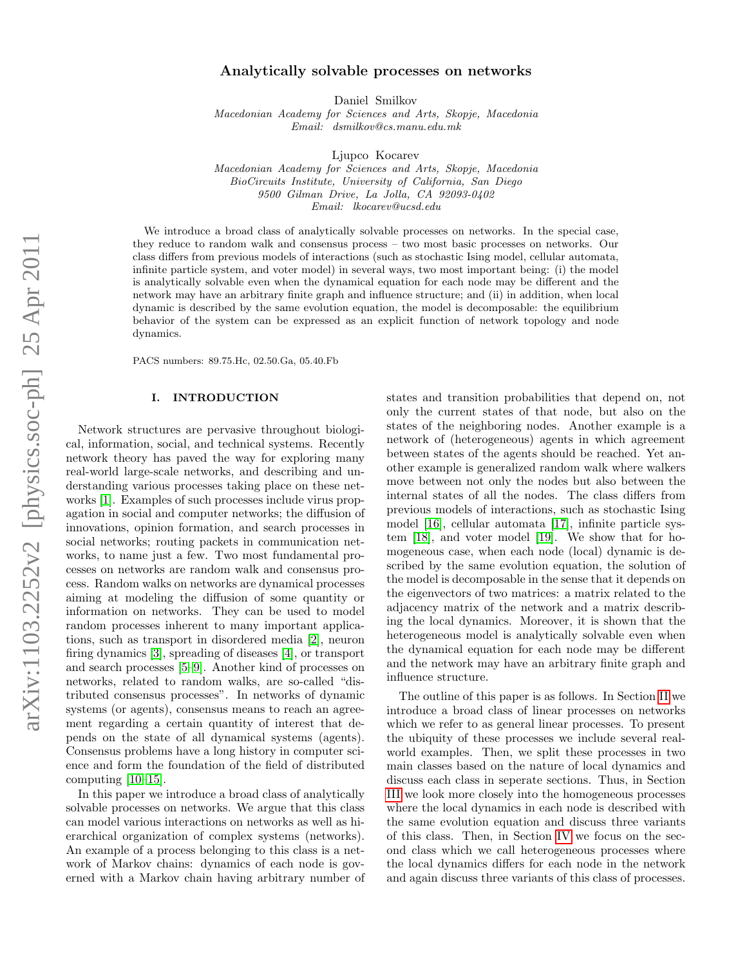# Analytically solvable processes on networks

Daniel Smilkov

Macedonian Academy for Sciences and Arts, Skopje, Macedonia Email: dsmilkov@cs.manu.edu.mk

Ljupco Kocarev

Macedonian Academy for Sciences and Arts, Skopje, Macedonia BioCircuits Institute, University of California, San Diego 9500 Gilman Drive, La Jolla, CA 92093-0402 Email: lkocarev@ucsd.edu

We introduce a broad class of analytically solvable processes on networks. In the special case, they reduce to random walk and consensus process – two most basic processes on networks. Our class differs from previous models of interactions (such as stochastic Ising model, cellular automata, infinite particle system, and voter model) in several ways, two most important being: (i) the model is analytically solvable even when the dynamical equation for each node may be different and the network may have an arbitrary finite graph and influence structure; and (ii) in addition, when local dynamic is described by the same evolution equation, the model is decomposable: the equilibrium behavior of the system can be expressed as an explicit function of network topology and node dynamics.

PACS numbers: 89.75.Hc, 02.50.Ga, 05.40.Fb

## I. INTRODUCTION

Network structures are pervasive throughout biological, information, social, and technical systems. Recently network theory has paved the way for exploring many real-world large-scale networks, and describing and understanding various processes taking place on these networks [\[1\]](#page-8-0). Examples of such processes include virus propagation in social and computer networks; the diffusion of innovations, opinion formation, and search processes in social networks; routing packets in communication networks, to name just a few. Two most fundamental processes on networks are random walk and consensus process. Random walks on networks are dynamical processes aiming at modeling the diffusion of some quantity or information on networks. They can be used to model random processes inherent to many important applications, such as transport in disordered media [\[2\]](#page-8-1), neuron firing dynamics [\[3\]](#page-8-2), spreading of diseases [\[4\]](#page-8-3), or transport and search processes [\[5–](#page-8-4)[9\]](#page-8-5). Another kind of processes on networks, related to random walks, are so-called "distributed consensus processes". In networks of dynamic systems (or agents), consensus means to reach an agreement regarding a certain quantity of interest that depends on the state of all dynamical systems (agents). Consensus problems have a long history in computer science and form the foundation of the field of distributed computing [\[10–](#page-8-6)[15\]](#page-9-0).

In this paper we introduce a broad class of analytically solvable processes on networks. We argue that this class can model various interactions on networks as well as hierarchical organization of complex systems (networks). An example of a process belonging to this class is a network of Markov chains: dynamics of each node is governed with a Markov chain having arbitrary number of states and transition probabilities that depend on, not only the current states of that node, but also on the states of the neighboring nodes. Another example is a network of (heterogeneous) agents in which agreement between states of the agents should be reached. Yet another example is generalized random walk where walkers move between not only the nodes but also between the internal states of all the nodes. The class differs from previous models of interactions, such as stochastic Ising model [\[16\]](#page-9-1), cellular automata [\[17\]](#page-9-2), infinite particle system [\[18\]](#page-9-3), and voter model [\[19\]](#page-9-4). We show that for homogeneous case, when each node (local) dynamic is described by the same evolution equation, the solution of the model is decomposable in the sense that it depends on the eigenvectors of two matrices: a matrix related to the adjacency matrix of the network and a matrix describing the local dynamics. Moreover, it is shown that the heterogeneous model is analytically solvable even when the dynamical equation for each node may be different and the network may have an arbitrary finite graph and influence structure.

The outline of this paper is as follows. In Section [II](#page-1-0) we introduce a broad class of linear processes on networks which we refer to as general linear processes. To present the ubiquity of these processes we include several realworld examples. Then, we split these processes in two main classes based on the nature of local dynamics and discuss each class in seperate sections. Thus, in Section [III](#page-3-0) we look more closely into the homogeneous processes where the local dynamics in each node is described with the same evolution equation and discuss three variants of this class. Then, in Section [IV](#page-4-0) we focus on the second class which we call heterogeneous processes where the local dynamics differs for each node in the network and again discuss three variants of this class of processes.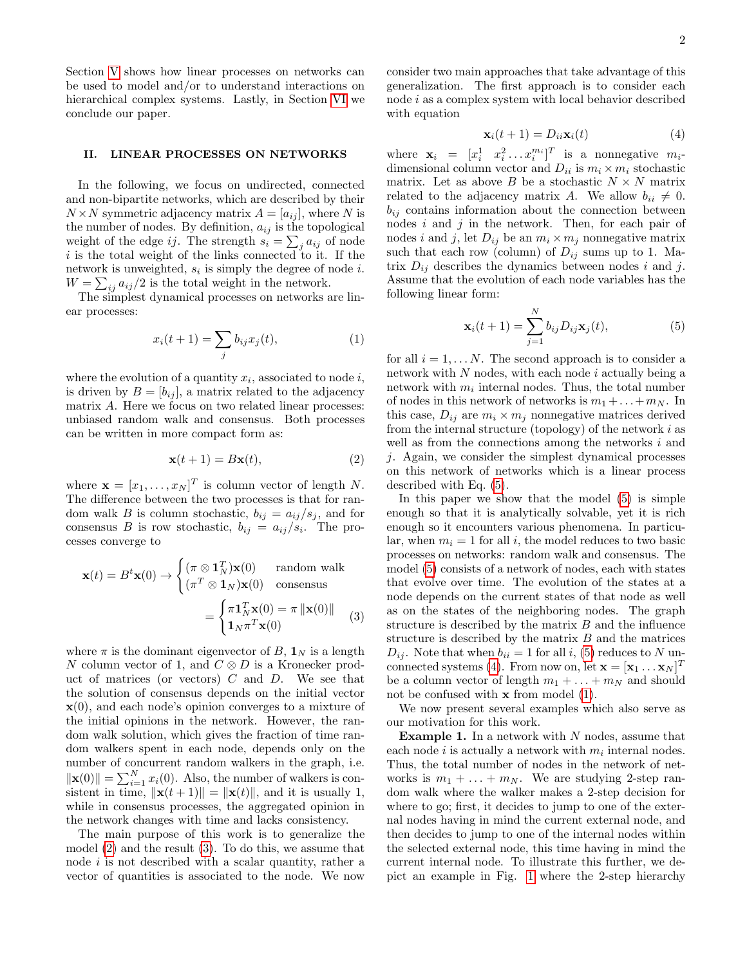Section [V](#page-6-0) shows how linear processes on networks can be used to model and/or to understand interactions on hierarchical complex systems. Lastly, in Section [VI](#page-8-7) we conclude our paper.

## <span id="page-1-0"></span>II. LINEAR PROCESSES ON NETWORKS

In the following, we focus on undirected, connected and non-bipartite networks, which are described by their  $N \times N$  symmetric adjacency matrix  $A = [a_{ij}]$ , where N is the number of nodes. By definition,  $a_{ij}$  is the topological weight of the edge *ij*. The strength  $s_i = \sum_j a_{ij}$  of node  $i$  is the total weight of the links connected to it. If the network is unweighted,  $s_i$  is simply the degree of node *i*.  $W = \sum_{ij} a_{ij}/2$  is the total weight in the network.

The simplest dynamical processes on networks are linear processes:

<span id="page-1-5"></span>
$$
x_i(t+1) = \sum_j b_{ij} x_j(t),
$$
 (1)

where the evolution of a quantity  $x_i$ , associated to node  $i$ , is driven by  $B = [b_{ij}]$ , a matrix related to the adjacency matrix A. Here we focus on two related linear processes: unbiased random walk and consensus. Both processes can be written in more compact form as:

<span id="page-1-1"></span>
$$
\mathbf{x}(t+1) = B\mathbf{x}(t),\tag{2}
$$

where  $\mathbf{x} = [x_1, \dots, x_N]^T$  is column vector of length N. The difference between the two processes is that for random walk B is column stochastic,  $b_{ij} = a_{ij}/s_j$ , and for consensus B is row stochastic,  $b_{ij} = a_{ij}/s_i$ . The processes converge to

<span id="page-1-2"></span>
$$
\mathbf{x}(t) = B^t \mathbf{x}(0) \rightarrow \begin{cases} (\pi \otimes \mathbf{1}_N^T) \mathbf{x}(0) & \text{random walk} \\ (\pi^T \otimes \mathbf{1}_N) \mathbf{x}(0) & \text{consensus} \end{cases}
$$

$$
= \begin{cases} \pi \mathbf{1}_N^T \mathbf{x}(0) = \pi ||\mathbf{x}(0)|| \\ \mathbf{1}_N \pi^T \mathbf{x}(0) \end{cases}
$$
(3)

where  $\pi$  is the dominant eigenvector of B,  $\mathbf{1}_N$  is a length N column vector of 1, and  $C \otimes D$  is a Kronecker product of matrices (or vectors)  $C$  and  $D$ . We see that the solution of consensus depends on the initial vector  $\mathbf{x}(0)$ , and each node's opinion converges to a mixture of the initial opinions in the network. However, the random walk solution, which gives the fraction of time random walkers spent in each node, depends only on the number of concurrent random walkers in the graph, i.e.  $\|\mathbf{x}(0)\| = \sum_{i=1}^{N} x_i(0)$ . Also, the number of walkers is consistent in time,  $\|\mathbf{x}(t+1)\| = \|\mathbf{x}(t)\|$ , and it is usually 1, while in consensus processes, the aggregated opinion in the network changes with time and lacks consistency.

The main purpose of this work is to generalize the model [\(2\)](#page-1-1) and the result [\(3\)](#page-1-2). To do this, we assume that node *i* is not described with a scalar quantity, rather a vector of quantities is associated to the node. We now

consider two main approaches that take advantage of this generalization. The first approach is to consider each node i as a complex system with local behavior described with equation

<span id="page-1-4"></span>
$$
\mathbf{x}_i(t+1) = D_{ii}\mathbf{x}_i(t) \tag{4}
$$

where  $\mathbf{x}_i = [x_i^1 \ x_i^2 \dots x_i^{m_i}]^T$  is a nonnegative  $m_i$ dimensional column vector and  $D_{ii}$  is  $m_i \times m_i$  stochastic matrix. Let as above  $B$  be a stochastic  $N \times N$  matrix related to the adjacency matrix A. We allow  $b_{ii} \neq 0$ .  $b_{ij}$  contains information about the connection between nodes  $i$  and  $j$  in the network. Then, for each pair of nodes i and j, let  $D_{ij}$  be an  $m_i \times m_j$  nonnegative matrix such that each row (column) of  $D_{ij}$  sums up to 1. Matrix  $D_{ij}$  describes the dynamics between nodes i and j. Assume that the evolution of each node variables has the following linear form:

<span id="page-1-3"></span>
$$
\mathbf{x}_i(t+1) = \sum_{j=1}^N b_{ij} D_{ij} \mathbf{x}_j(t), \qquad (5)
$$

for all  $i = 1, \ldots, N$ . The second approach is to consider a network with  $N$  nodes, with each node  $i$  actually being a network with  $m_i$  internal nodes. Thus, the total number of nodes in this network of networks is  $m_1 + \ldots + m_N$ . In this case,  $D_{ij}$  are  $m_i \times m_j$  nonnegative matrices derived from the internal structure (topology) of the network  $i$  as well as from the connections among the networks  $i$  and j. Again, we consider the simplest dynamical processes on this network of networks which is a linear process described with Eq. [\(5\)](#page-1-3).

In this paper we show that the model [\(5\)](#page-1-3) is simple enough so that it is analytically solvable, yet it is rich enough so it encounters various phenomena. In particular, when  $m_i = 1$  for all i, the model reduces to two basic processes on networks: random walk and consensus. The model [\(5\)](#page-1-3) consists of a network of nodes, each with states that evolve over time. The evolution of the states at a node depends on the current states of that node as well as on the states of the neighboring nodes. The graph structure is described by the matrix  $B$  and the influence structure is described by the matrix  $B$  and the matrices  $D_{ij}$ . Note that when  $b_{ii} = 1$  for all i, [\(5\)](#page-1-3) reduces to N un-connected systems [\(4\)](#page-1-4). From now on, let  $\mathbf{x} = [\mathbf{x}_1 \dots \mathbf{x}_N]^T$ be a column vector of length  $m_1 + \ldots + m_N$  and should not be confused with  $x$  from model  $(1)$ .

We now present several examples which also serve as our motivation for this work.

**Example 1.** In a network with  $N$  nodes, assume that each node *i* is actually a network with  $m_i$  internal nodes. Thus, the total number of nodes in the network of networks is  $m_1 + \ldots + m_N$ . We are studying 2-step random walk where the walker makes a 2-step decision for where to go; first, it decides to jump to one of the external nodes having in mind the current external node, and then decides to jump to one of the internal nodes within the selected external node, this time having in mind the current internal node. To illustrate this further, we depict an example in Fig. [1](#page-2-0) where the 2-step hierarchy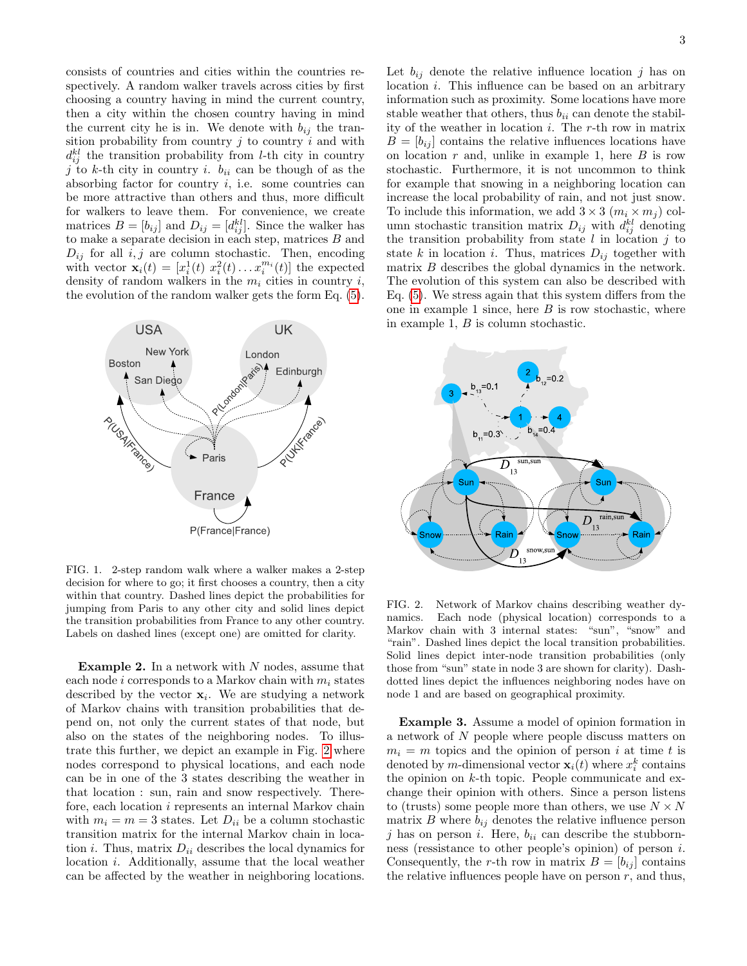consists of countries and cities within the countries respectively. A random walker travels across cities by first choosing a country having in mind the current country, then a city within the chosen country having in mind the current city he is in. We denote with  $b_{ij}$  the transition probability from country  $j$  to country  $i$  and with  $d_{ij}^{kl}$  the transition probability from *l*-th city in country j to k-th city in country i.  $b_{ii}$  can be though of as the absorbing factor for country  $i$ , i.e. some countries can be more attractive than others and thus, more difficult for walkers to leave them. For convenience, we create matrices  $B = [b_{ij}]$  and  $D_{ij} = [d_{ij}^{kl}]$ . Since the walker has to make a separate decision in each step, matrices  $B$  and  $D_{ij}$  for all  $i, j$  are column stochastic. Then, encoding with vector  $\mathbf{x}_i(t) = [x_i^1(t) \ x_i^2(t) \dots x_i^{m_i}(t)]$  the expected density of random walkers in the  $m_i$  cities in country i, the evolution of the random walker gets the form Eq. [\(5\)](#page-1-3).



<span id="page-2-0"></span>FIG. 1. 2-step random walk where a walker makes a 2-step decision for where to go; it first chooses a country, then a city within that country. Dashed lines depict the probabilities for jumping from Paris to any other city and solid lines depict the transition probabilities from France to any other country. Labels on dashed lines (except one) are omitted for clarity.

**Example 2.** In a network with  $N$  nodes, assume that each node i corresponds to a Markov chain with  $m_i$  states described by the vector  $x_i$ . We are studying a network of Markov chains with transition probabilities that depend on, not only the current states of that node, but also on the states of the neighboring nodes. To illustrate this further, we depict an example in Fig. [2](#page-2-1) where nodes correspond to physical locations, and each node can be in one of the 3 states describing the weather in that location : sun, rain and snow respectively. Therefore, each location i represents an internal Markov chain with  $m_i = m = 3$  states. Let  $D_{ii}$  be a column stochastic transition matrix for the internal Markov chain in location *i*. Thus, matrix  $D_{ii}$  describes the local dynamics for location i. Additionally, assume that the local weather can be affected by the weather in neighboring locations.

Let  $b_{ij}$  denote the relative influence location j has on location i. This influence can be based on an arbitrary information such as proximity. Some locations have more stable weather that others, thus  $b_{ii}$  can denote the stability of the weather in location  $i$ . The r-th row in matrix  $B = [b_{ij}]$  contains the relative influences locations have on location  $r$  and, unlike in example 1, here  $B$  is row stochastic. Furthermore, it is not uncommon to think for example that snowing in a neighboring location can increase the local probability of rain, and not just snow. To include this information, we add  $3 \times 3$   $(m_i \times m_j)$  column stochastic transition matrix  $D_{ij}$  with  $d_{ij}^{kl}$  denoting the transition probability from state  $l$  in location  $j$  to state k in location i. Thus, matrices  $D_{ij}$  together with matrix B describes the global dynamics in the network. The evolution of this system can also be described with Eq. [\(5\)](#page-1-3). We stress again that this system differs from the one in example 1 since, here  $B$  is row stochastic, where in example 1, B is column stochastic.



<span id="page-2-1"></span>FIG. 2. Network of Markov chains describing weather dynamics. Each node (physical location) corresponds to a Markov chain with 3 internal states: "sun", "snow" and "rain". Dashed lines depict the local transition probabilities. Solid lines depict inter-node transition probabilities (only those from "sun" state in node 3 are shown for clarity). Dashdotted lines depict the influences neighboring nodes have on node 1 and are based on geographical proximity.

Example 3. Assume a model of opinion formation in a network of N people where people discuss matters on  $m_i = m$  topics and the opinion of person i at time t is denoted by *m*-dimensional vector  $\mathbf{x}_i(t)$  where  $x_i^k$  contains the opinion on  $k$ -th topic. People communicate and exchange their opinion with others. Since a person listens to (trusts) some people more than others, we use  $N \times N$ matrix  $B$  where  $b_{ij}$  denotes the relative influence person j has on person i. Here,  $b_{ii}$  can describe the stubbornness (ressistance to other people's opinion) of person i. Consequently, the r-th row in matrix  $B = [b_{ij}]$  contains the relative influences people have on person  $r$ , and thus,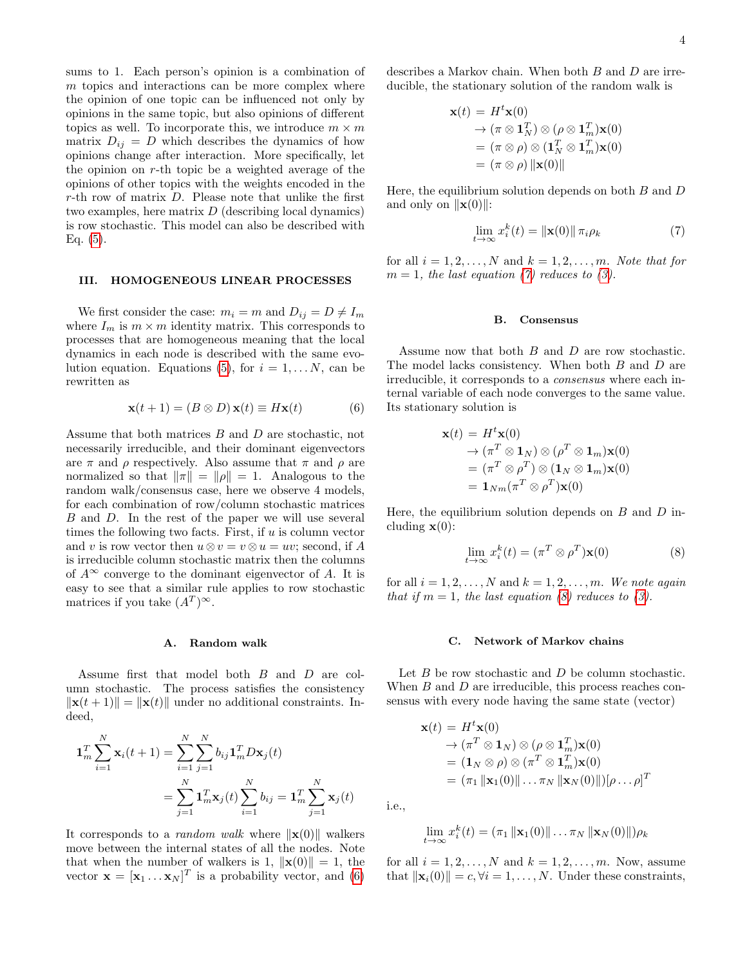sums to 1. Each person's opinion is a combination of  $m$  topics and interactions can be more complex where the opinion of one topic can be influenced not only by opinions in the same topic, but also opinions of different topics as well. To incorporate this, we introduce  $m \times m$ matrix  $D_{ij} = D$  which describes the dynamics of how opinions change after interaction. More specifically, let the opinion on r-th topic be a weighted average of the opinions of other topics with the weights encoded in the r-th row of matrix D. Please note that unlike the first two examples, here matrix D (describing local dynamics) is row stochastic. This model can also be described with Eq.  $(5)$ .

### <span id="page-3-0"></span>III. HOMOGENEOUS LINEAR PROCESSES

We first consider the case:  $m_i = m$  and  $D_{ij} = D \neq I_m$ where  $I_m$  is  $m \times m$  identity matrix. This corresponds to processes that are homogeneous meaning that the local dynamics in each node is described with the same evo-lution equation. Equations [\(5\)](#page-1-3), for  $i = 1, \ldots N$ , can be rewritten as

<span id="page-3-1"></span>
$$
\mathbf{x}(t+1) = (B \otimes D)\,\mathbf{x}(t) \equiv H\mathbf{x}(t) \tag{6}
$$

Assume that both matrices B and D are stochastic, not necessarily irreducible, and their dominant eigenvectors are  $\pi$  and  $\rho$  respectively. Also assume that  $\pi$  and  $\rho$  are normalized so that  $\|\pi\| = \|\rho\| = 1$ . Analogous to the random walk/consensus case, here we observe 4 models, for each combination of row/column stochastic matrices B and D. In the rest of the paper we will use several times the following two facts. First, if  $u$  is column vector and v is row vector then  $u \otimes v = v \otimes u = uv$ ; second, if A is irreducible column stochastic matrix then the columns of  $A^{\infty}$  converge to the dominant eigenvector of A. It is easy to see that a similar rule applies to row stochastic matrices if you take  $(A^T)^\infty$ .

#### A. Random walk

Assume first that model both B and D are column stochastic. The process satisfies the consistency  $\|\mathbf{x}(t + 1)\| = \|\mathbf{x}(t)\|$  under no additional constraints. Indeed,

$$
\mathbf{1}_{m}^{T} \sum_{i=1}^{N} \mathbf{x}_{i}(t+1) = \sum_{i=1}^{N} \sum_{j=1}^{N} b_{ij} \mathbf{1}_{m}^{T} D \mathbf{x}_{j}(t)
$$

$$
= \sum_{j=1}^{N} \mathbf{1}_{m}^{T} \mathbf{x}_{j}(t) \sum_{i=1}^{N} b_{ij} = \mathbf{1}_{m}^{T} \sum_{j=1}^{N} \mathbf{x}_{j}(t)
$$

It corresponds to a *random walk* where  $\Vert \mathbf{x}(0) \Vert$  walkers move between the internal states of all the nodes. Note that when the number of walkers is 1,  $\|\mathbf{x}(0)\| = 1$ , the vector  $\mathbf{x} = [\mathbf{x}_1 \dots \mathbf{x}_N]^T$  is a probability vector, and [\(6\)](#page-3-1)

describes a Markov chain. When both B and D are irreducible, the stationary solution of the random walk is

$$
\mathbf{x}(t) = H^t \mathbf{x}(0)
$$
  
\n
$$
\rightarrow (\pi \otimes \mathbf{1}_N^T) \otimes (\rho \otimes \mathbf{1}_m^T) \mathbf{x}(0)
$$
  
\n
$$
= (\pi \otimes \rho) \otimes (\mathbf{1}_N^T \otimes \mathbf{1}_m^T) \mathbf{x}(0)
$$
  
\n
$$
= (\pi \otimes \rho) ||\mathbf{x}(0)||
$$

Here, the equilibrium solution depends on both  $B$  and  $D$ and only on  $\|\mathbf{x}(0)\|$ :

<span id="page-3-2"></span>
$$
\lim_{t \to \infty} x_i^k(t) = \|\mathbf{x}(0)\| \,\pi_i \rho_k \tag{7}
$$

for all  $i = 1, 2, \ldots, N$  and  $k = 1, 2, \ldots, m$ . Note that for  $m = 1$ , the last equation [\(7\)](#page-3-2) reduces to [\(3\)](#page-1-2).

#### <span id="page-3-4"></span>B. Consensus

Assume now that both B and D are row stochastic. The model lacks consistency. When both B and D are irreducible, it corresponds to a consensus where each internal variable of each node converges to the same value. Its stationary solution is

$$
\mathbf{x}(t) = H^t \mathbf{x}(0)
$$
  
\n
$$
\rightarrow (\pi^T \otimes \mathbf{1}_N) \otimes (\rho^T \otimes \mathbf{1}_m) \mathbf{x}(0)
$$
  
\n
$$
= (\pi^T \otimes \rho^T) \otimes (\mathbf{1}_N \otimes \mathbf{1}_m) \mathbf{x}(0)
$$
  
\n
$$
= \mathbf{1}_{Nm} (\pi^T \otimes \rho^T) \mathbf{x}(0)
$$

Here, the equilibrium solution depends on  $B$  and  $D$  including  $\mathbf{x}(0)$ :

<span id="page-3-3"></span>
$$
\lim_{t \to \infty} x_i^k(t) = (\pi^T \otimes \rho^T) \mathbf{x}(0)
$$
\n(8)

for all  $i = 1, 2, \ldots, N$  and  $k = 1, 2, \ldots, m$ . We note again that if  $m = 1$ , the last equation [\(8\)](#page-3-3) reduces to [\(3\)](#page-1-2).

#### <span id="page-3-5"></span>C. Network of Markov chains

Let  $B$  be row stochastic and  $D$  be column stochastic. When  $B$  and  $D$  are irreducible, this process reaches consensus with every node having the same state (vector)

$$
\mathbf{x}(t) = H^t \mathbf{x}(0) \n\rightarrow (\pi^T \otimes \mathbf{1}_N) \otimes (\rho \otimes \mathbf{1}_m^T) \mathbf{x}(0) \n= (\mathbf{1}_N \otimes \rho) \otimes (\pi^T \otimes \mathbf{1}_m^T) \mathbf{x}(0) \n= (\pi_1 ||\mathbf{x}_1(0)|| \dots \pi_N ||\mathbf{x}_N(0)||) [\rho \dots \rho]^T
$$

i.e.,

$$
\lim_{t\to\infty}x_i^k(t)=(\pi_1\|\mathbf{x}_1(0)\|\ldots\pi_N\|\mathbf{x}_N(0)\|)\rho_k
$$

for all  $i = 1, 2, \ldots, N$  and  $k = 1, 2, \ldots, m$ . Now, assume that  $\|\mathbf{x}_i(0)\| = c, \forall i = 1, ..., N$ . Under these constraints,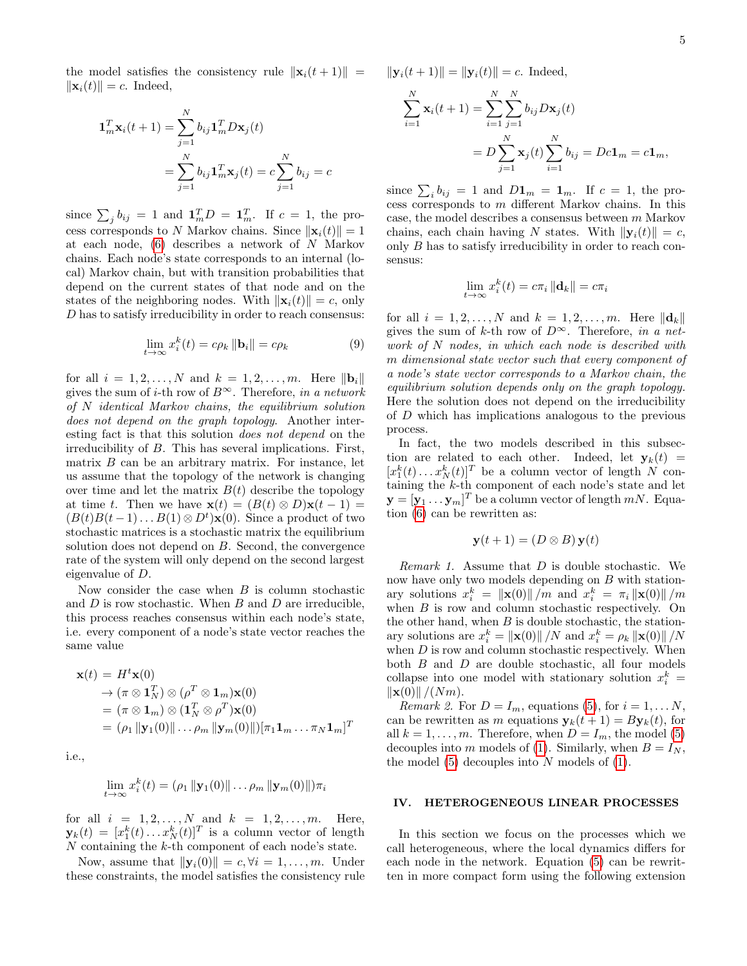the model satisfies the consistency rule  $\|\mathbf{x}_i(t+1)\|$  =  $\|\mathbf{x}_i(t)\| = c$ . Indeed,

$$
\mathbf{1}_m^T \mathbf{x}_i(t+1) = \sum_{j=1}^N b_{ij} \mathbf{1}_m^T D \mathbf{x}_j(t)
$$

$$
= \sum_{j=1}^N b_{ij} \mathbf{1}_m^T \mathbf{x}_j(t) = c \sum_{j=1}^N b_{ij} = c
$$

since  $\sum_j b_{ij} = 1$  and  $\mathbf{1}_m^T D = \mathbf{1}_m^T$ . If  $c = 1$ , the process corresponds to N Markov chains. Since  $\|\mathbf{x}_i(t)\|=1$ at each node, [\(6\)](#page-3-1) describes a network of N Markov chains. Each node's state corresponds to an internal (local) Markov chain, but with transition probabilities that depend on the current states of that node and on the states of the neighboring nodes. With  $\|\mathbf{x}_i(t)\| = c$ , only D has to satisfy irreducibility in order to reach consensus:

<span id="page-4-1"></span>
$$
\lim_{t \to \infty} x_i^k(t) = c\rho_k \|\mathbf{b}_i\| = c\rho_k \tag{9}
$$

for all  $i = 1, 2, ..., N$  and  $k = 1, 2, ..., m$ . Here  $\|\mathbf{b}_{i}\|$ gives the sum of *i*-th row of  $B^{\infty}$ . Therefore, in a network of N identical Markov chains, the equilibrium solution does not depend on the graph topology. Another interesting fact is that this solution does not depend on the irreducibility of B. This has several implications. First, matrix  $B$  can be an arbitrary matrix. For instance, let us assume that the topology of the network is changing over time and let the matrix  $B(t)$  describe the topology at time t. Then we have  $\mathbf{x}(t) = (B(t) \otimes D)\mathbf{x}(t-1) =$  $(B(t)B(t-1)\dots B(1)\otimes D^t)\mathbf{x}(0)$ . Since a product of two stochastic matrices is a stochastic matrix the equilibrium solution does not depend on B. Second, the convergence rate of the system will only depend on the second largest eigenvalue of D.

Now consider the case when  $B$  is column stochastic and  $D$  is row stochastic. When  $B$  and  $D$  are irreducible, this process reaches consensus within each node's state, i.e. every component of a node's state vector reaches the same value

$$
\mathbf{x}(t) = H^t \mathbf{x}(0) \n\rightarrow (\pi \otimes \mathbf{1}_N^T) \otimes (\rho^T \otimes \mathbf{1}_m) \mathbf{x}(0) \n= (\pi \otimes \mathbf{1}_m) \otimes (\mathbf{1}_N^T \otimes \rho^T) \mathbf{x}(0) \n= (\rho_1 \|\mathbf{y}_1(0)\| \dots \rho_m \|\mathbf{y}_m(0)\|)[\pi_1 \mathbf{1}_m \dots \pi_N \mathbf{1}_m]^T
$$

i.e.,

$$
\lim_{t\to\infty}x_i^k(t)=(\rho_1\,\|\mathbf{y}_1(0)\|\ldots\rho_m\,\|\mathbf{y}_m(0)\|)\pi_i
$$

for all  $i = 1, 2, ..., N$  and  $k = 1, 2, ..., m$ . Here,  $\mathbf{y}_k(t) = [x_1^k(t) \dots x_N^k(t)]^T$  is a column vector of length N containing the k-th component of each node's state.

Now, assume that  $\|\mathbf{y}_i(0)\| = c, \forall i = 1, \ldots, m$ . Under these constraints, the model satisfies the consistency rule  $\|\mathbf{y}_i(t + 1)\| = \|\mathbf{y}_i(t)\| = c.$  Indeed,

$$
\sum_{i=1}^{N} \mathbf{x}_{i}(t+1) = \sum_{i=1}^{N} \sum_{j=1}^{N} b_{ij} D\mathbf{x}_{j}(t)
$$
  
=  $D \sum_{j=1}^{N} \mathbf{x}_{j}(t) \sum_{i=1}^{N} b_{ij} = Dc\mathbf{1}_{m} = c\mathbf{1}_{m},$ 

since  $\sum_i b_{ij} = 1$  and  $D\mathbf{1}_m = \mathbf{1}_m$ . If  $c = 1$ , the process corresponds to m different Markov chains. In this case, the model describes a consensus between m Markov chains, each chain having N states. With  $\|\mathbf{y}_i(t)\| = c$ , only B has to satisfy irreducibility in order to reach consensus:

$$
\lim_{t \to \infty} x_i^k(t) = c\pi_i ||\mathbf{d}_k|| = c\pi_i
$$

for all  $i = 1, 2, ..., N$  and  $k = 1, 2, ..., m$ . Here  $||d_k||$ gives the sum of k-th row of  $D^{\infty}$ . Therefore, in a network of N nodes, in which each node is described with m dimensional state vector such that every component of a node's state vector corresponds to a Markov chain, the equilibrium solution depends only on the graph topology. Here the solution does not depend on the irreducibility of D which has implications analogous to the previous process.

In fact, the two models described in this subsection are related to each other. Indeed, let  $y_k(t)$  =  $[x_1^k(t) \dots x_N^k(t)]^T$  be a column vector of length N containing the  $k$ -th component of each node's state and let  $\mathbf{y} = [\mathbf{y}_1 \dots \mathbf{y}_m]^T$  be a column vector of length  $mN$ . Equation [\(6\)](#page-3-1) can be rewritten as:

$$
\mathbf{y}(t+1) = (D \otimes B)\mathbf{y}(t)
$$

Remark 1. Assume that D is double stochastic. We now have only two models depending on  $B$  with stationary solutions  $x_i^k = ||\mathbf{x}(0)|| / m$  and  $x_i^k = \pi_i ||\mathbf{x}(0)|| / m$ when  $B$  is row and column stochastic respectively. On the other hand, when  $B$  is double stochastic, the stationary solutions are  $x_i^k = ||\mathbf{x}(0)|| / N$  and  $x_i^k = \rho_k ||\mathbf{x}(0)|| / N$ when  $D$  is row and column stochastic respectively. When both  $B$  and  $D$  are double stochastic, all four models collapse into one model with stationary solution  $x_i^k =$  $\|x(0)\|/(Nm).$ 

Remark 2. For  $D = I_m$ , equations [\(5\)](#page-1-3), for  $i = 1, \ldots N$ , can be rewritten as m equations  $y_k(t + 1) = By_k(t)$ , for all  $k = 1, \ldots, m$ . Therefore, when  $D = I_m$ , the model [\(5\)](#page-1-3) decouples into m models of [\(1\)](#page-1-5). Similarly, when  $B = I_N$ , the model  $(5)$  decouples into N models of  $(1)$ .

## <span id="page-4-0"></span>IV. HETEROGENEOUS LINEAR PROCESSES

In this section we focus on the processes which we call heterogeneous, where the local dynamics differs for each node in the network. Equation [\(5\)](#page-1-3) can be rewritten in more compact form using the following extension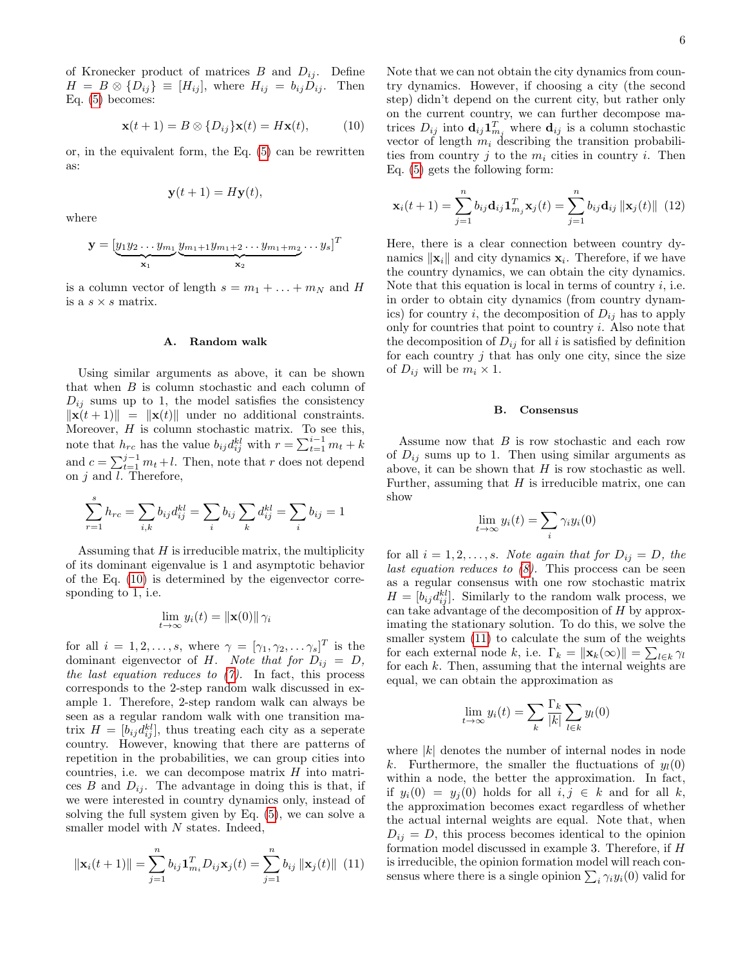of Kronecker product of matrices  $B$  and  $D_{ij}$ . Define  $H = B \otimes \{D_{ij}\} \equiv [H_{ij}],$  where  $H_{ij} = b_{ij}D_{ij}$ . Then Eq. [\(5\)](#page-1-3) becomes:

<span id="page-5-0"></span>
$$
\mathbf{x}(t+1) = B \otimes \{D_{ij}\}\mathbf{x}(t) = H\mathbf{x}(t), \quad (10)
$$

or, in the equivalent form, the Eq. [\(5\)](#page-1-3) can be rewritten as:

$$
\mathbf{y}(t+1) = H\mathbf{y}(t),
$$

where

$$
\mathbf{y} = [\underbrace{y_1 y_2 \dots y_{m_1}}_{\mathbf{x}_1} \underbrace{y_{m_1+1} y_{m_1+2} \dots y_{m_1+m_2}}_{\mathbf{x}_2} \dots y_s]^T
$$

is a column vector of length  $s = m_1 + \ldots + m_N$  and H is a  $s \times s$  matrix.

## A. Random walk

Using similar arguments as above, it can be shown that when B is column stochastic and each column of  $D_{ij}$  sums up to 1, the model satisfies the consistency  $\|\mathbf{x}(t + 1)\| = \|\mathbf{x}(t)\|$  under no additional constraints. Moreover,  $H$  is column stochastic matrix. To see this, note that  $h_{rc}$  has the value  $b_{ij}d_{ij}^{kl}$  with  $r = \sum_{t=1}^{i-1} m_t + k$ and  $c = \sum_{t=1}^{j-1} m_t + l$ . Then, note that r does not depend on  $j$  and  $l$ . Therefore,

$$
\sum_{r=1}^{s} h_{rc} = \sum_{i,k} b_{ij} d_{ij}^{kl} = \sum_{i} b_{ij} \sum_{k} d_{ij}^{kl} = \sum_{i} b_{ij} = 1
$$

Assuming that  $H$  is irreducible matrix, the multiplicity of its dominant eigenvalue is 1 and asymptotic behavior of the Eq. [\(10\)](#page-5-0) is determined by the eigenvector corresponding to 1, i.e.

$$
\lim_{t \to \infty} y_i(t) = \|\mathbf{x}(0)\| \, \gamma_i
$$

for all  $i = 1, 2, \ldots, s$ , where  $\gamma = [\gamma_1, \gamma_2, \ldots, \gamma_s]^T$  is the dominant eigenvector of H. Note that for  $D_{ij} = D$ , the last equation reduces to  $(7)$ . In fact, this process corresponds to the 2-step random walk discussed in example 1. Therefore, 2-step random walk can always be seen as a regular random walk with one transition matrix  $H = [b_{ij}d_{ij}^{kl}]$ , thus treating each city as a seperate country. However, knowing that there are patterns of repetition in the probabilities, we can group cities into countries, i.e. we can decompose matrix  $H$  into matrices B and  $D_{ij}$ . The advantage in doing this is that, if we were interested in country dynamics only, instead of solving the full system given by Eq. [\(5\)](#page-1-3), we can solve a smaller model with N states. Indeed,

<span id="page-5-1"></span>
$$
\|\mathbf{x}_i(t+1)\| = \sum_{j=1}^n b_{ij} \mathbf{1}_{m_i}^T D_{ij} \mathbf{x}_j(t) = \sum_{j=1}^n b_{ij} \|\mathbf{x}_j(t)\| \tag{11}
$$

Note that we can not obtain the city dynamics from country dynamics. However, if choosing a city (the second step) didn't depend on the current city, but rather only on the current country, we can further decompose matrices  $D_{ij}$  into  $\mathbf{d}_{ij} \mathbf{1}_{m_j}^T$  where  $\mathbf{d}_{ij}$  is a column stochastic vector of length  $m_i$  describing the transition probabilities from country j to the  $m_i$  cities in country i. Then Eq. [\(5\)](#page-1-3) gets the following form:

<span id="page-5-2"></span>
$$
\mathbf{x}_{i}(t+1) = \sum_{j=1}^{n} b_{ij} \mathbf{d}_{ij} \mathbf{1}_{m_{j}}^{T} \mathbf{x}_{j}(t) = \sum_{j=1}^{n} b_{ij} \mathbf{d}_{ij} ||\mathbf{x}_{j}(t)|| \tag{12}
$$

Here, there is a clear connection between country dynamics  $\|\mathbf{x}_i\|$  and city dynamics  $\mathbf{x}_i$ . Therefore, if we have the country dynamics, we can obtain the city dynamics. Note that this equation is local in terms of country  $i$ , i.e. in order to obtain city dynamics (from country dynamics) for country i, the decomposition of  $D_{ij}$  has to apply only for countries that point to country  $i$ . Also note that the decomposition of  $D_{ij}$  for all i is satisfied by definition for each country  $j$  that has only one city, since the size of  $D_{ij}$  will be  $m_i \times 1$ .

### B. Consensus

Assume now that  $B$  is row stochastic and each row of  $D_{ij}$  sums up to 1. Then using similar arguments as above, it can be shown that  $H$  is row stochastic as well. Further, assuming that  $H$  is irreducible matrix, one can show

$$
\lim_{t \to \infty} y_i(t) = \sum_i \gamma_i y_i(0)
$$

for all  $i = 1, 2, \ldots, s$ . Note again that for  $D_{ij} = D$ , the last equation reduces to  $(8)$ . This proccess can be seen as a regular consensus with one row stochastic matrix  $H = [b_{ij}d_{ij}^{kl}]$ . Similarly to the random walk process, we can take advantage of the decomposition of H by approximating the stationary solution. To do this, we solve the smaller system [\(11\)](#page-5-1) to calculate the sum of the weights for each external node k, i.e.  $\Gamma_k = \|\mathbf{x}_k(\infty)\| = \sum_{l \in k} \gamma_l$ for each  $k$ . Then, assuming that the internal weights are equal, we can obtain the approximation as

$$
\lim_{t \to \infty} y_i(t) = \sum_k \frac{\Gamma_k}{|k|} \sum_{l \in k} y_l(0)
$$

where  $|k|$  denotes the number of internal nodes in node k. Furthermore, the smaller the fluctuations of  $y_l(0)$ within a node, the better the approximation. In fact, if  $y_i(0) = y_i(0)$  holds for all  $i, j \in k$  and for all k, the approximation becomes exact regardless of whether the actual internal weights are equal. Note that, when  $D_{ij} = D$ , this process becomes identical to the opinion formation model discussed in example 3. Therefore, if H is irreducible, the opinion formation model will reach consensus where there is a single opinion  $\sum_i \gamma_i y_i(0)$  valid for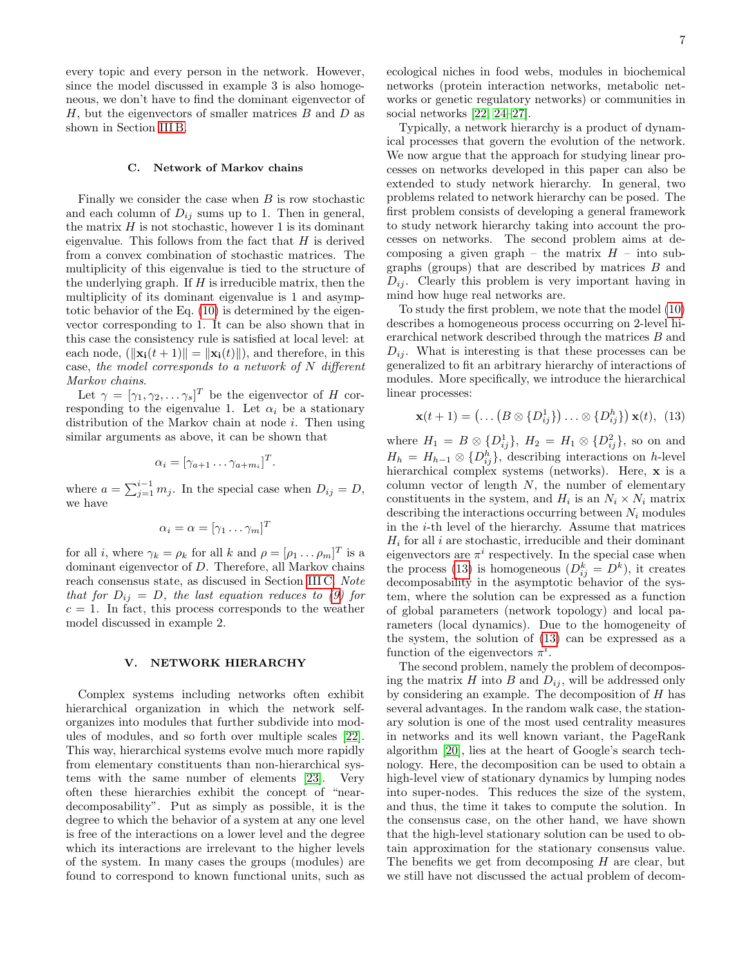every topic and every person in the network. However, since the model discussed in example 3 is also homogeneous, we don't have to find the dominant eigenvector of  $H$ , but the eigenvectors of smaller matrices  $B$  and  $D$  as shown in Section [III B.](#page-3-4)

### C. Network of Markov chains

Finally we consider the case when  $B$  is row stochastic and each column of  $D_{ij}$  sums up to 1. Then in general, the matrix  $H$  is not stochastic, however 1 is its dominant eigenvalue. This follows from the fact that  $H$  is derived from a convex combination of stochastic matrices. The multiplicity of this eigenvalue is tied to the structure of the underlying graph. If  $H$  is irreducible matrix, then the multiplicity of its dominant eigenvalue is 1 and asymptotic behavior of the Eq. [\(10\)](#page-5-0) is determined by the eigenvector corresponding to 1. It can be also shown that in this case the consistency rule is satisfied at local level: at each node,  $(\Vert \mathbf{x_i}(t+1) \Vert = \Vert \mathbf{x_i}(t) \Vert)$ , and therefore, in this case, the model corresponds to a network of N different Markov chains.

Let  $\gamma = [\gamma_1, \gamma_2, \dots \gamma_s]^T$  be the eigenvector of H corresponding to the eigenvalue 1. Let  $\alpha_i$  be a stationary distribution of the Markov chain at node  $i$ . Then using similar arguments as above, it can be shown that

$$
\alpha_i = [\gamma_{a+1} \dots \gamma_{a+m_i}]^T.
$$

where  $a = \sum_{j=1}^{i-1} m_j$ . In the special case when  $D_{ij} = D$ , we have

$$
\alpha_i = \alpha = [\gamma_1 \dots \gamma_m]^T
$$

for all *i*, where  $\gamma_k = \rho_k$  for all *k* and  $\rho = [\rho_1 \dots \rho_m]^T$  is a dominant eigenvector of D. Therefore, all Markov chains reach consensus state, as discused in Section [III C.](#page-3-5) Note that for  $D_{ij} = D$ , the last equation reduces to [\(9\)](#page-4-1) for  $c = 1$ . In fact, this process corresponds to the weather model discussed in example 2.

### <span id="page-6-0"></span>V. NETWORK HIERARCHY

Complex systems including networks often exhibit hierarchical organization in which the network selforganizes into modules that further subdivide into modules of modules, and so forth over multiple scales [\[22\]](#page-9-5). This way, hierarchical systems evolve much more rapidly from elementary constituents than non-hierarchical systems with the same number of elements [\[23\]](#page-9-6). Very often these hierarchies exhibit the concept of "neardecomposability". Put as simply as possible, it is the degree to which the behavior of a system at any one level is free of the interactions on a lower level and the degree which its interactions are irrelevant to the higher levels of the system. In many cases the groups (modules) are found to correspond to known functional units, such as ecological niches in food webs, modules in biochemical networks (protein interaction networks, metabolic networks or genetic regulatory networks) or communities in social networks [\[22,](#page-9-5) [24](#page-9-7)[–27\]](#page-9-8).

Typically, a network hierarchy is a product of dynamical processes that govern the evolution of the network. We now argue that the approach for studying linear processes on networks developed in this paper can also be extended to study network hierarchy. In general, two problems related to network hierarchy can be posed. The first problem consists of developing a general framework to study network hierarchy taking into account the processes on networks. The second problem aims at decomposing a given graph – the matrix  $H$  – into subgraphs (groups) that are described by matrices B and  $D_{ij}$ . Clearly this problem is very important having in mind how huge real networks are.

To study the first problem, we note that the model [\(10\)](#page-5-0) describes a homogeneous process occurring on 2-level hierarchical network described through the matrices B and  $D_{ij}$ . What is interesting is that these processes can be generalized to fit an arbitrary hierarchy of interactions of modules. More specifically, we introduce the hierarchical linear processes:

<span id="page-6-1"></span>
$$
\mathbf{x}(t+1) = \left(\dots \left(B \otimes \{D_{ij}^1\}\right)\dots \otimes \{D_{ij}^h\}\right) \mathbf{x}(t), \tag{13}
$$

where  $H_1 = B \otimes {\{D_{ij}^1\}}$ ,  $H_2 = H_1 \otimes {\{D_{ij}^2\}}$ , so on and  $H_h = H_{h-1} \otimes \{D_{ij}^h\}$ , describing interactions on h-level hierarchical complex systems (networks). Here, x is a column vector of length  $N$ , the number of elementary constituents in the system, and  $H_i$  is an  $N_i \times N_i$  matrix describing the interactions occurring between  $N_i$  modules in the i-th level of the hierarchy. Assume that matrices  $H_i$  for all i are stochastic, irreducible and their dominant eigenvectors are  $\pi^i$  respectively. In the special case when the process [\(13\)](#page-6-1) is homogeneous  $(D_{ij}^k = D^k)$ , it creates decomposability in the asymptotic behavior of the system, where the solution can be expressed as a function of global parameters (network topology) and local parameters (local dynamics). Due to the homogeneity of the system, the solution of [\(13\)](#page-6-1) can be expressed as a function of the eigenvectors  $\pi^i$ .

The second problem, namely the problem of decomposing the matrix  $H$  into  $B$  and  $D_{ij}$ , will be addressed only by considering an example. The decomposition of H has several advantages. In the random walk case, the stationary solution is one of the most used centrality measures in networks and its well known variant, the PageRank algorithm [\[20\]](#page-9-9), lies at the heart of Google's search technology. Here, the decomposition can be used to obtain a high-level view of stationary dynamics by lumping nodes into super-nodes. This reduces the size of the system, and thus, the time it takes to compute the solution. In the consensus case, on the other hand, we have shown that the high-level stationary solution can be used to obtain approximation for the stationary consensus value. The benefits we get from decomposing  $H$  are clear, but we still have not discussed the actual problem of decom-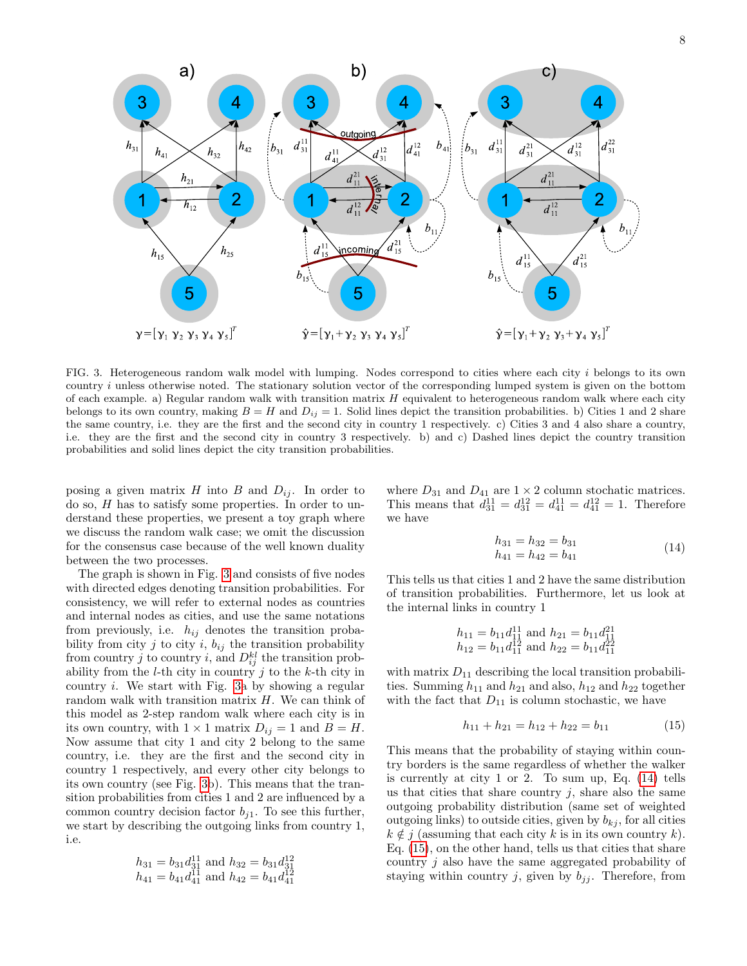

<span id="page-7-0"></span>FIG. 3. Heterogeneous random walk model with lumping. Nodes correspond to cities where each city i belongs to its own country i unless otherwise noted. The stationary solution vector of the corresponding lumped system is given on the bottom of each example. a) Regular random walk with transition matrix  $H$  equivalent to heterogeneous random walk where each city belongs to its own country, making  $B = H$  and  $D_{ij} = 1$ . Solid lines depict the transition probabilities. b) Cities 1 and 2 share the same country, i.e. they are the first and the second city in country 1 respectively. c) Cities 3 and 4 also share a country, i.e. they are the first and the second city in country 3 respectively. b) and c) Dashed lines depict the country transition probabilities and solid lines depict the city transition probabilities.

posing a given matrix  $H$  into  $B$  and  $D_{ij}$ . In order to do so, H has to satisfy some properties. In order to understand these properties, we present a toy graph where we discuss the random walk case; we omit the discussion for the consensus case because of the well known duality between the two processes.

The graph is shown in Fig. [3](#page-7-0) and consists of five nodes with directed edges denoting transition probabilities. For consistency, we will refer to external nodes as countries and internal nodes as cities, and use the same notations from previously, i.e.  $h_{ij}$  denotes the transition probability from city j to city i,  $b_{ij}$  the transition probability from country j to country i, and  $D_{ij}^{kl}$  the transition probability from the  $l$ -th city in country j to the  $k$ -th city in country i. We start with Fig. [3a](#page-7-0) by showing a regular random walk with transition matrix H. We can think of this model as 2-step random walk where each city is in its own country, with  $1 \times 1$  matrix  $D_{ij} = 1$  and  $B = H$ . Now assume that city 1 and city 2 belong to the same country, i.e. they are the first and the second city in country 1 respectively, and every other city belongs to its own country (see Fig. [3b](#page-7-0)). This means that the transition probabilities from cities 1 and 2 are influenced by a common country decision factor  $b_{i1}$ . To see this further, we start by describing the outgoing links from country 1, i.e.

$$
h_{31} = b_{31}d_{31}^{11} \text{ and } h_{32} = b_{31}d_{31}^{12}
$$
  

$$
h_{41} = b_{41}d_{41}^{11} \text{ and } h_{42} = b_{41}d_{41}^{12}
$$

where  $D_{31}$  and  $D_{41}$  are  $1 \times 2$  column stochatic matrices. This means that  $d_{31}^{11} = d_{31}^{12} = d_{41}^{11} = d_{41}^{12} = 1$ . Therefore we have

<span id="page-7-1"></span>
$$
h_{31} = h_{32} = b_{31}
$$
  
\n
$$
h_{41} = h_{42} = b_{41}
$$
\n(14)

This tells us that cities 1 and 2 have the same distribution of transition probabilities. Furthermore, let us look at the internal links in country 1

$$
h_{11} = b_{11}d_{11}^{11}
$$
 and  $h_{21} = b_{11}d_{11}^{21}$   
\n $h_{12} = b_{11}d_{11}^{12}$  and  $h_{22} = b_{11}d_{11}^{22}$ 

with matrix  $D_{11}$  describing the local transition probabilities. Summing  $h_{11}$  and  $h_{21}$  and also,  $h_{12}$  and  $h_{22}$  together with the fact that  $D_{11}$  is column stochastic, we have

<span id="page-7-2"></span>
$$
h_{11} + h_{21} = h_{12} + h_{22} = b_{11} \tag{15}
$$

This means that the probability of staying within country borders is the same regardless of whether the walker is currently at city 1 or 2. To sum up, Eq. [\(14\)](#page-7-1) tells us that cities that share country  $j$ , share also the same outgoing probability distribution (same set of weighted outgoing links) to outside cities, given by  $b_{ki}$ , for all cities  $k \notin j$  (assuming that each city k is in its own country k). Eq. [\(15\)](#page-7-2), on the other hand, tells us that cities that share country j also have the same aggregated probability of staying within country j, given by  $b_{jj}$ . Therefore, from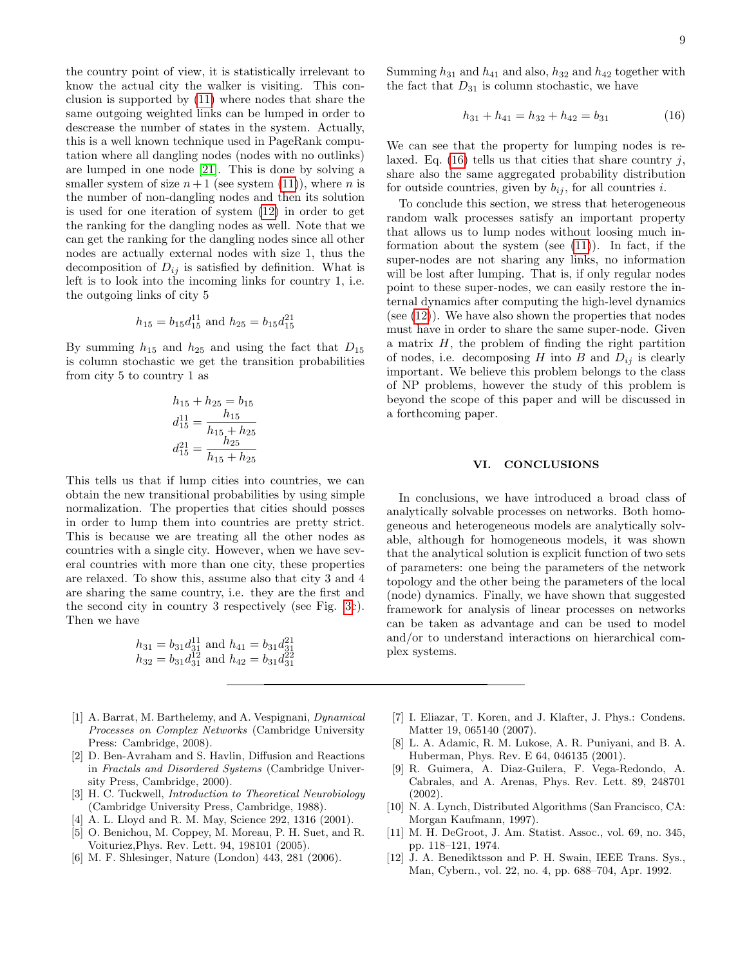the country point of view, it is statistically irrelevant to know the actual city the walker is visiting. This conclusion is supported by [\(11\)](#page-5-1) where nodes that share the same outgoing weighted links can be lumped in order to descrease the number of states in the system. Actually, this is a well known technique used in PageRank computation where all dangling nodes (nodes with no outlinks) are lumped in one node [\[21\]](#page-9-10). This is done by solving a smaller system of size  $n+1$  (see system [\(11\)](#page-5-1)), where n is the number of non-dangling nodes and then its solution is used for one iteration of system [\(12\)](#page-5-2) in order to get the ranking for the dangling nodes as well. Note that we can get the ranking for the dangling nodes since all other nodes are actually external nodes with size 1, thus the decomposition of  $D_{ij}$  is satisfied by definition. What is left is to look into the incoming links for country 1, i.e. the outgoing links of city 5

$$
h_{15} = b_{15}d_{15}^{11}
$$
 and  $h_{25} = b_{15}d_{15}^{21}$ 

By summing  $h_{15}$  and  $h_{25}$  and using the fact that  $D_{15}$ is column stochastic we get the transition probabilities from city 5 to country 1 as

$$
h_{15} + h_{25} = b_{15}
$$

$$
d_{15}^{11} = \frac{h_{15}}{h_{15} + h_{25}}
$$

$$
d_{15}^{21} = \frac{h_{25}}{h_{15} + h_{25}}
$$

This tells us that if lump cities into countries, we can obtain the new transitional probabilities by using simple normalization. The properties that cities should posses in order to lump them into countries are pretty strict. This is because we are treating all the other nodes as countries with a single city. However, when we have several countries with more than one city, these properties are relaxed. To show this, assume also that city 3 and 4 are sharing the same country, i.e. they are the first and the second city in country 3 respectively (see Fig. [3c](#page-7-0)). Then we have

$$
h_{31} = b_{31}d_{31}^{11}
$$
 and  $h_{41} = b_{31}d_{31}^{21}$   
\n $h_{32} = b_{31}d_{31}^{12}$  and  $h_{42} = b_{31}d_{31}^{22}$ 

- <span id="page-8-0"></span>[1] A. Barrat, M. Barthelemy, and A. Vespignani, Dynamical Processes on Complex Networks (Cambridge University Press: Cambridge, 2008).
- <span id="page-8-1"></span>[2] D. Ben-Avraham and S. Havlin, Diffusion and Reactions in Fractals and Disordered Systems (Cambridge University Press, Cambridge, 2000).
- <span id="page-8-2"></span>[3] H. C. Tuckwell, Introduction to Theoretical Neurobiology (Cambridge University Press, Cambridge, 1988).
- <span id="page-8-3"></span>[4] A. L. Lloyd and R. M. May, Science 292, 1316 (2001).
- <span id="page-8-4"></span>[5] O. Benichou, M. Coppey, M. Moreau, P. H. Suet, and R. Voituriez,Phys. Rev. Lett. 94, 198101 (2005).
- [6] M. F. Shlesinger, Nature (London) 443, 281 (2006).

Summing  $h_{31}$  and  $h_{41}$  and also,  $h_{32}$  and  $h_{42}$  together with the fact that  $D_{31}$  is column stochastic, we have

<span id="page-8-8"></span>
$$
h_{31} + h_{41} = h_{32} + h_{42} = b_{31} \tag{16}
$$

We can see that the property for lumping nodes is relaxed. Eq.  $(16)$  tells us that cities that share country j, share also the same aggregated probability distribution for outside countries, given by  $b_{ij}$ , for all countries i.

To conclude this section, we stress that heterogeneous random walk processes satisfy an important property that allows us to lump nodes without loosing much information about the system (see [\(11\)](#page-5-1)). In fact, if the super-nodes are not sharing any links, no information will be lost after lumping. That is, if only regular nodes point to these super-nodes, we can easily restore the internal dynamics after computing the high-level dynamics (see  $(12)$ ). We have also shown the properties that nodes must have in order to share the same super-node. Given a matrix  $H$ , the problem of finding the right partition of nodes, i.e. decomposing H into B and  $D_{ij}$  is clearly important. We believe this problem belongs to the class of NP problems, however the study of this problem is beyond the scope of this paper and will be discussed in a forthcoming paper.

## <span id="page-8-7"></span>VI. CONCLUSIONS

In conclusions, we have introduced a broad class of analytically solvable processes on networks. Both homogeneous and heterogeneous models are analytically solvable, although for homogeneous models, it was shown that the analytical solution is explicit function of two sets of parameters: one being the parameters of the network topology and the other being the parameters of the local (node) dynamics. Finally, we have shown that suggested framework for analysis of linear processes on networks can be taken as advantage and can be used to model and/or to understand interactions on hierarchical complex systems.

- [7] I. Eliazar, T. Koren, and J. Klafter, J. Phys.: Condens. Matter 19, 065140 (2007).
- [8] L. A. Adamic, R. M. Lukose, A. R. Puniyani, and B. A. Huberman, Phys. Rev. E 64, 046135 (2001).
- <span id="page-8-5"></span>[9] R. Guimera, A. Diaz-Guilera, F. Vega-Redondo, A. Cabrales, and A. Arenas, Phys. Rev. Lett. 89, 248701 (2002).
- <span id="page-8-6"></span>[10] N. A. Lynch, Distributed Algorithms (San Francisco, CA: Morgan Kaufmann, 1997).
- [11] M. H. DeGroot, J. Am. Statist. Assoc., vol. 69, no. 345, pp. 118–121, 1974.
- [12] J. A. Benediktsson and P. H. Swain, IEEE Trans. Sys., Man, Cybern., vol. 22, no. 4, pp. 688–704, Apr. 1992.